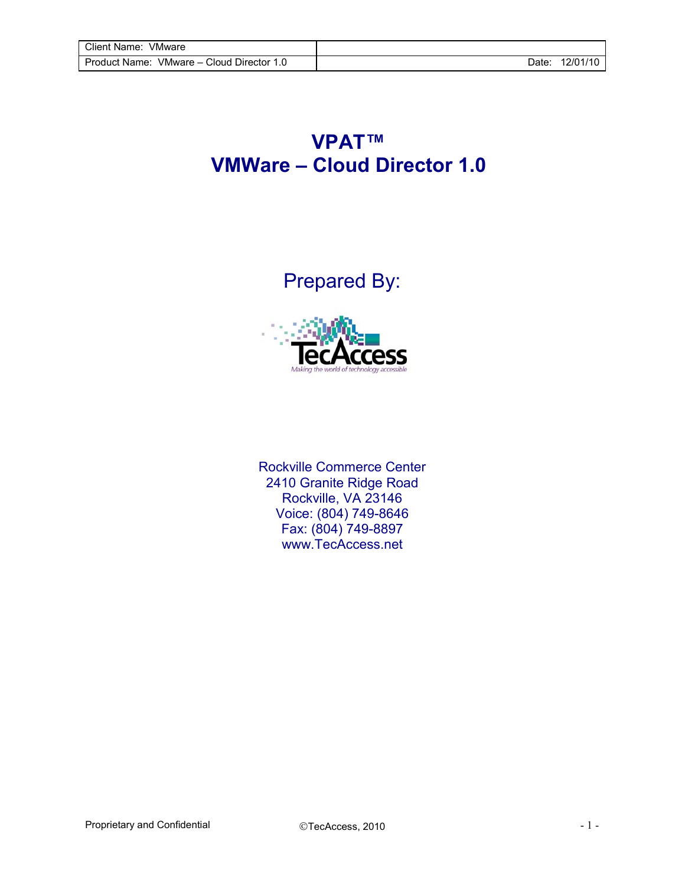## **VPAT™ VMWare – Cloud Director 1.0**

Prepared By:



Rockville Commerce Center 2410 Granite Ridge Road Rockville, VA 23146 Voice: (804) 749-8646 Fax: (804) 749-8897 [www.TecAccess.net](http://www.tecaccess.net)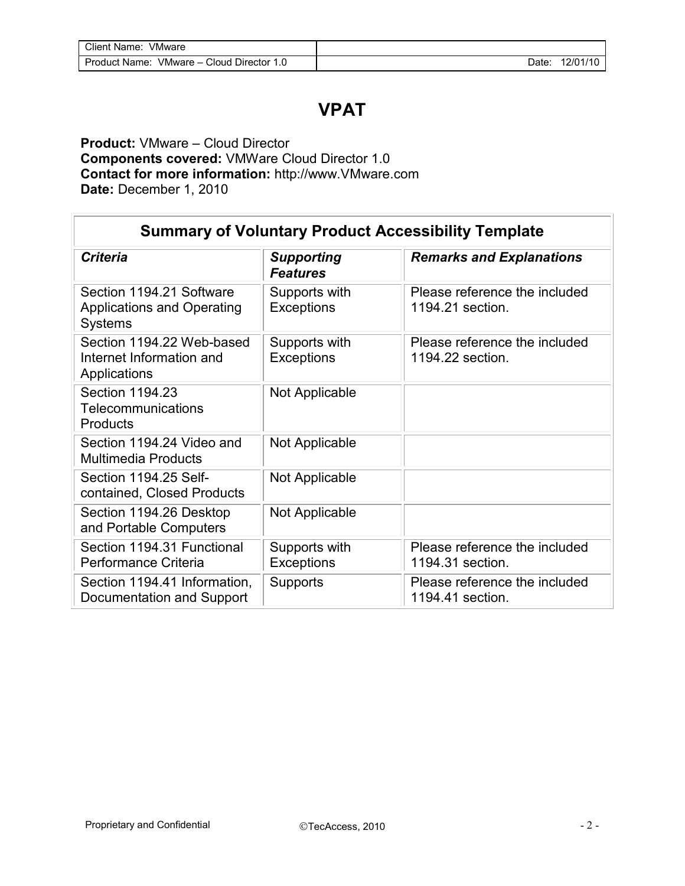## **VPAT**

## **Product:** VMware – Cloud Director **Components covered:** VMWare Cloud Director 1.0 **Contact for more information:** [http://www.VMware.com](http://www.vmware.com)  **Date:** December 1, 2010

| <b>Summary of Voluntary Product Accessibility Template</b>                      |                                      |                                                   |  |
|---------------------------------------------------------------------------------|--------------------------------------|---------------------------------------------------|--|
| <b>Criteria</b>                                                                 | <b>Supporting</b><br><b>Features</b> | <b>Remarks and Explanations</b>                   |  |
| Section 1194.21 Software<br><b>Applications and Operating</b><br><b>Systems</b> | Supports with<br><b>Exceptions</b>   | Please reference the included<br>1194.21 section. |  |
| Section 1194.22 Web-based<br>Internet Information and<br>Applications           | Supports with<br><b>Exceptions</b>   | Please reference the included<br>1194.22 section. |  |
| Section 1194.23<br>Telecommunications<br>Products                               | Not Applicable                       |                                                   |  |
| Section 1194.24 Video and<br><b>Multimedia Products</b>                         | Not Applicable                       |                                                   |  |
| Section 1194.25 Self-<br>contained, Closed Products                             | Not Applicable                       |                                                   |  |
| Section 1194.26 Desktop<br>and Portable Computers                               | Not Applicable                       |                                                   |  |
| Section 1194.31 Functional<br>Performance Criteria                              | Supports with<br><b>Exceptions</b>   | Please reference the included<br>1194.31 section. |  |
| Section 1194.41 Information,<br>Documentation and Support                       | Supports                             | Please reference the included<br>1194.41 section. |  |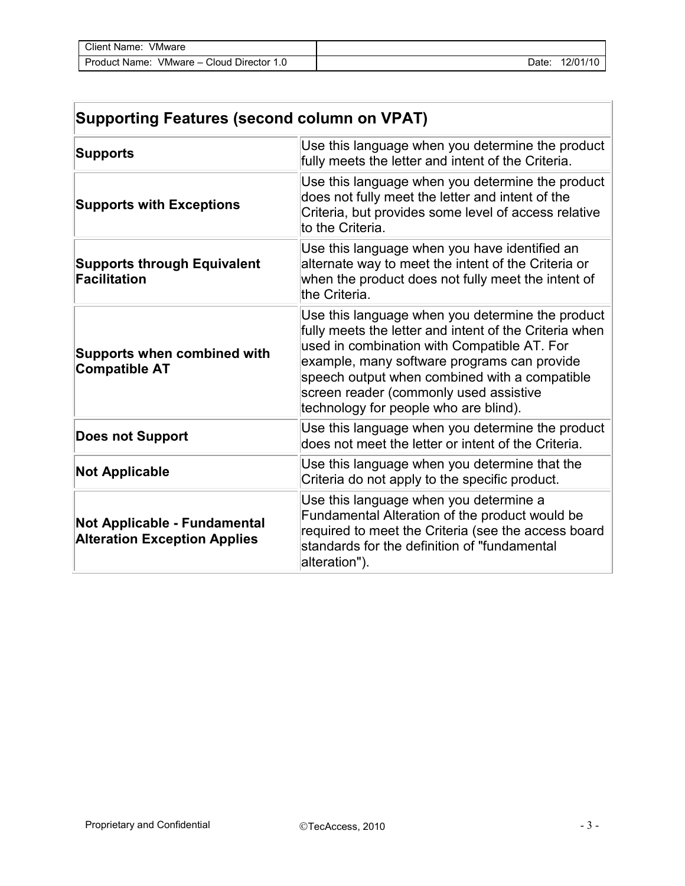| Client Name:<br>VMware                   |       |          |
|------------------------------------------|-------|----------|
| VMware - Cloud Director<br>Product Name: | :Date | 12/01/10 |

| <b>Supporting Features (second column on VPAT)</b>                  |                                                                                                                                                                                                                                                                                                                                              |  |  |
|---------------------------------------------------------------------|----------------------------------------------------------------------------------------------------------------------------------------------------------------------------------------------------------------------------------------------------------------------------------------------------------------------------------------------|--|--|
| <b>Supports</b>                                                     | Use this language when you determine the product<br>fully meets the letter and intent of the Criteria.                                                                                                                                                                                                                                       |  |  |
| <b>Supports with Exceptions</b>                                     | Use this language when you determine the product<br>does not fully meet the letter and intent of the<br>Criteria, but provides some level of access relative<br>to the Criteria.                                                                                                                                                             |  |  |
| <b>Supports through Equivalent</b><br><b>Facilitation</b>           | Use this language when you have identified an<br>alternate way to meet the intent of the Criteria or<br>when the product does not fully meet the intent of<br>the Criteria.                                                                                                                                                                  |  |  |
| <b>Supports when combined with</b><br><b>Compatible AT</b>          | Use this language when you determine the product<br>fully meets the letter and intent of the Criteria when<br>used in combination with Compatible AT. For<br>example, many software programs can provide<br>speech output when combined with a compatible<br>screen reader (commonly used assistive<br>technology for people who are blind). |  |  |
| <b>Does not Support</b>                                             | Use this language when you determine the product<br>does not meet the letter or intent of the Criteria.                                                                                                                                                                                                                                      |  |  |
| <b>Not Applicable</b>                                               | Use this language when you determine that the<br>Criteria do not apply to the specific product.                                                                                                                                                                                                                                              |  |  |
| Not Applicable - Fundamental<br><b>Alteration Exception Applies</b> | Use this language when you determine a<br>Fundamental Alteration of the product would be<br>required to meet the Criteria (see the access board<br>standards for the definition of "fundamental<br>alteration").                                                                                                                             |  |  |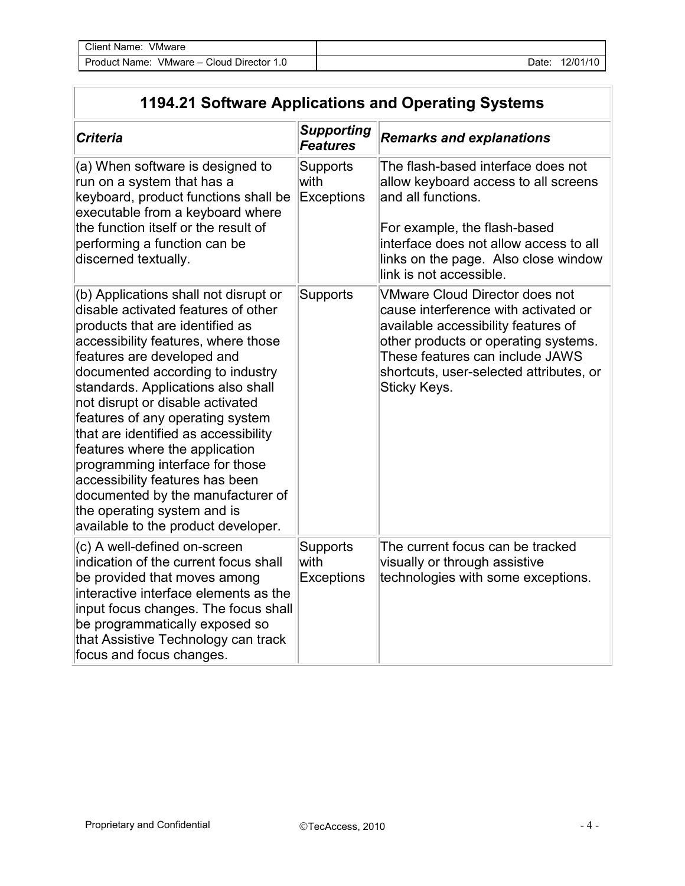| Client Name:<br>VMware      |          |
|-----------------------------|----------|
| VMware - Cloud Director 1.0 | 12/01/10 |
| Product Name:               | Date:    |

## **1194.21 Software Applications and Operating Systems**

| <b>Criteria</b>                                                                                                                                                                                                                                                                                                                                                                                                                                                                                                                                                                                   | <b>Supporting</b><br><b>Features</b>  | <b>Remarks and explanations</b>                                                                                                                                                                                                                            |
|---------------------------------------------------------------------------------------------------------------------------------------------------------------------------------------------------------------------------------------------------------------------------------------------------------------------------------------------------------------------------------------------------------------------------------------------------------------------------------------------------------------------------------------------------------------------------------------------------|---------------------------------------|------------------------------------------------------------------------------------------------------------------------------------------------------------------------------------------------------------------------------------------------------------|
| (a) When software is designed to<br>run on a system that has a<br>keyboard, product functions shall be<br>executable from a keyboard where<br>the function itself or the result of<br>performing a function can be<br>discerned textually.                                                                                                                                                                                                                                                                                                                                                        | <b>Supports</b><br>with<br>Exceptions | The flash-based interface does not<br>allow keyboard access to all screens<br>and all functions.<br>For example, the flash-based<br>interface does not allow access to all<br>links on the page. Also close window<br>link is not accessible.              |
| (b) Applications shall not disrupt or<br>disable activated features of other<br>products that are identified as<br>accessibility features, where those<br>features are developed and<br>documented according to industry<br>standards. Applications also shall<br>not disrupt or disable activated<br>features of any operating system<br>that are identified as accessibility<br>features where the application<br>programming interface for those<br>accessibility features has been<br>documented by the manufacturer of<br>the operating system and is<br>available to the product developer. | Supports                              | <b>VMware Cloud Director does not</b><br>cause interference with activated or<br>available accessibility features of<br>other products or operating systems.<br>These features can include JAWS<br>shortcuts, user-selected attributes, or<br>Sticky Keys. |
| (c) A well-defined on-screen<br>indication of the current focus shall<br>be provided that moves among<br>interactive interface elements as the<br>input focus changes. The focus shall<br>be programmatically exposed so<br>that Assistive Technology can track<br>focus and focus changes.                                                                                                                                                                                                                                                                                                       | Supports<br>with<br><b>Exceptions</b> | The current focus can be tracked<br>visually or through assistive<br>technologies with some exceptions.                                                                                                                                                    |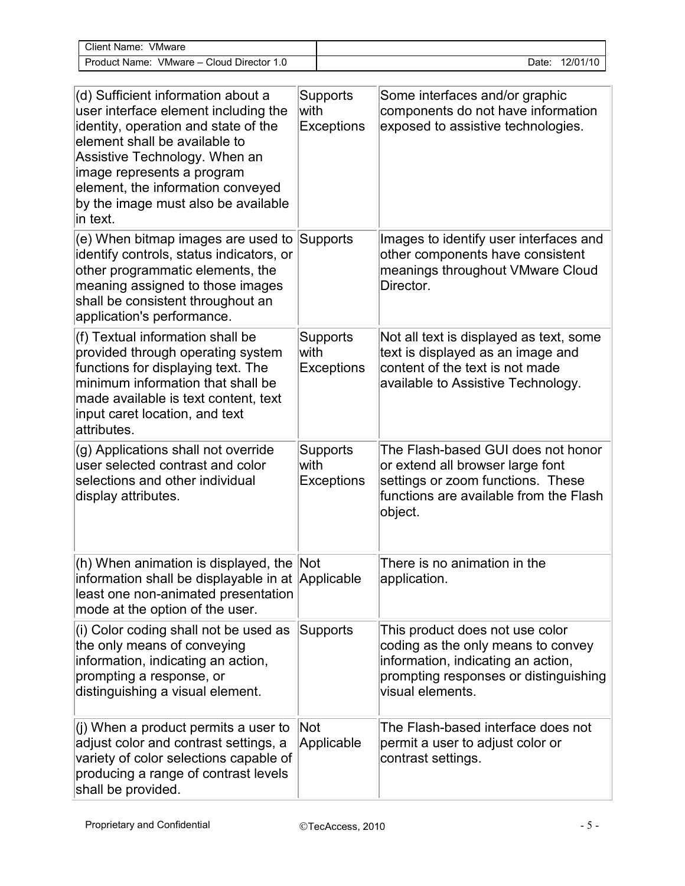| Client Name: VMware                                                                                                                                                                                                                                                                                        |      |                        |                                                                                                                                                                          |
|------------------------------------------------------------------------------------------------------------------------------------------------------------------------------------------------------------------------------------------------------------------------------------------------------------|------|------------------------|--------------------------------------------------------------------------------------------------------------------------------------------------------------------------|
| Product Name: VMware - Cloud Director 1.0                                                                                                                                                                                                                                                                  |      |                        | Date: 12/01/10                                                                                                                                                           |
|                                                                                                                                                                                                                                                                                                            |      |                        |                                                                                                                                                                          |
| (d) Sufficient information about a<br>user interface element including the<br>identity, operation and state of the<br>element shall be available to<br>Assistive Technology. When an<br>image represents a program<br>element, the information conveyed<br>by the image must also be available<br>in text. | with | Supports<br>Exceptions | Some interfaces and/or graphic<br>components do not have information<br>exposed to assistive technologies.                                                               |
| (e) When bitmap images are used to<br>identify controls, status indicators, or<br>other programmatic elements, the<br>meaning assigned to those images<br>shall be consistent throughout an<br>application's performance.                                                                                  |      | Supports               | Images to identify user interfaces and<br>other components have consistent<br>meanings throughout VMware Cloud<br>Director.                                              |
| (f) Textual information shall be<br>provided through operating system<br>functions for displaying text. The<br>minimum information that shall be<br>made available is text content, text<br>input caret location, and text<br>attributes.                                                                  | with | Supports<br>Exceptions | Not all text is displayed as text, some<br>text is displayed as an image and<br>content of the text is not made<br>available to Assistive Technology.                    |
| (g) Applications shall not override<br>user selected contrast and color<br>selections and other individual<br>display attributes.                                                                                                                                                                          | with | Supports<br>Exceptions | The Flash-based GUI does not honor<br>or extend all browser large font<br>settings or zoom functions. These<br>functions are available from the Flash<br>object.         |
| (h) When animation is displayed, the Not<br>information shall be displayable in at Applicable<br>least one non-animated presentation<br>mode at the option of the user.                                                                                                                                    |      |                        | There is no animation in the<br>application.                                                                                                                             |
| (i) Color coding shall not be used as<br>the only means of conveying<br>information, indicating an action,<br>prompting a response, or<br>distinguishing a visual element.                                                                                                                                 |      | Supports               | This product does not use color<br>coding as the only means to convey<br>information, indicating an action,<br>prompting responses or distinguishing<br>visual elements. |
| $(i)$ When a product permits a user to<br>adjust color and contrast settings, a<br>variety of color selections capable of<br>producing a range of contrast levels<br>shall be provided.                                                                                                                    | Not  | Applicable             | The Flash-based interface does not<br>permit a user to adjust color or<br>contrast settings.                                                                             |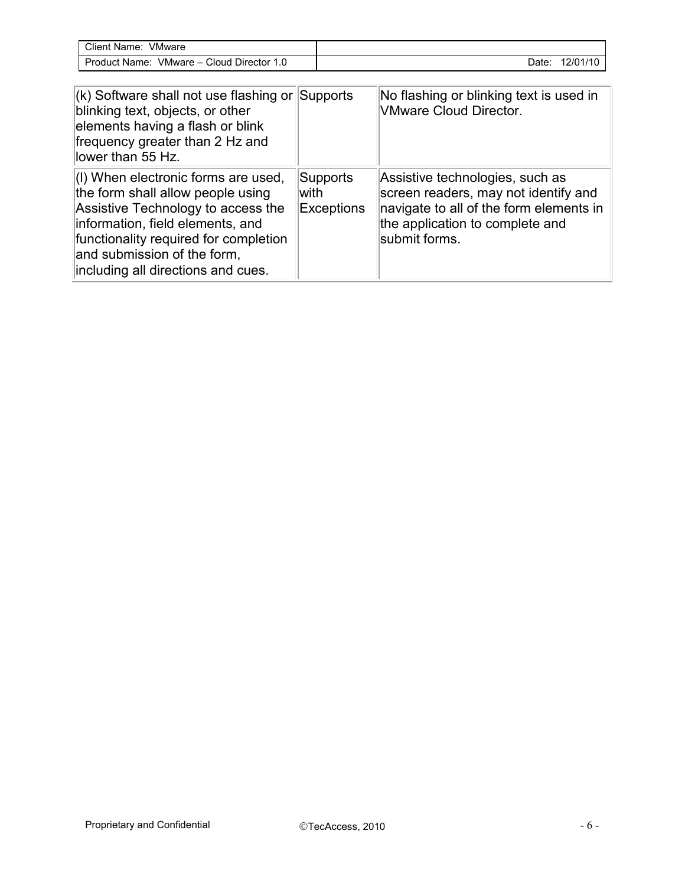| VMware<br>Client Name:                                  |       |          |
|---------------------------------------------------------|-------|----------|
| VMware $-$<br>Director 1.<br>Product Name:<br>$C$ loud, | Date: | 12/01/10 |

| $\vert$ (k) Software shall not use flashing or Supports<br>blinking text, objects, or other<br>elements having a flash or blink<br>frequency greater than 2 Hz and<br>llower than 55 Hz.                                                                         |                                 | No flashing or blinking text is used in<br><b>VMware Cloud Director.</b>                                                                                               |
|------------------------------------------------------------------------------------------------------------------------------------------------------------------------------------------------------------------------------------------------------------------|---------------------------------|------------------------------------------------------------------------------------------------------------------------------------------------------------------------|
| (I) When electronic forms are used,<br>the form shall allow people using<br>Assistive Technology to access the<br>information, field elements, and<br>functionality required for completion<br>and submission of the form,<br>including all directions and cues. | Supports<br>lwith<br>Exceptions | Assistive technologies, such as<br>screen readers, may not identify and<br>navigate to all of the form elements in<br>the application to complete and<br>submit forms. |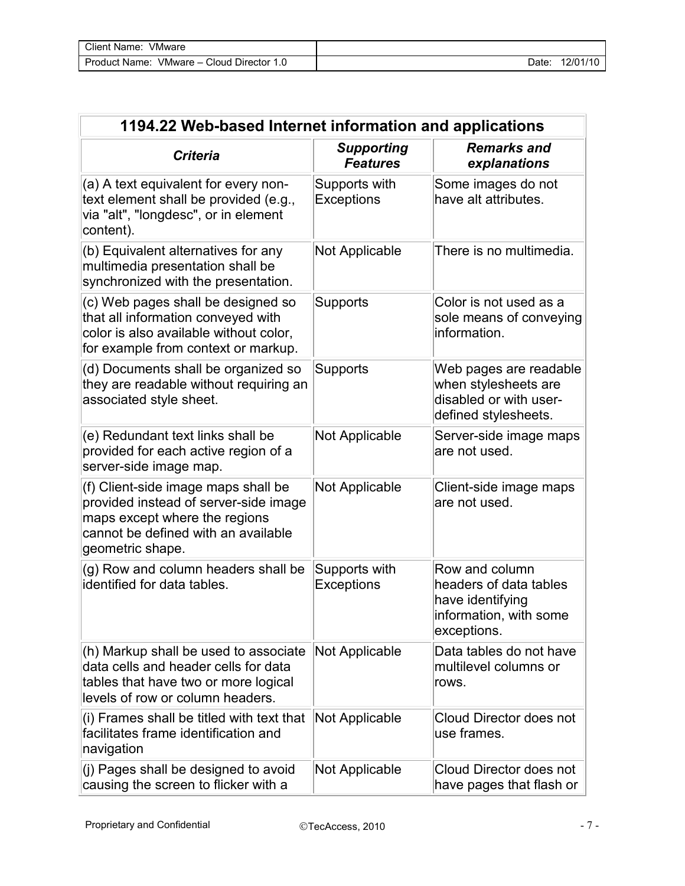| 1194.22 Web-based Internet information and applications                                                                                                                  |                                      |                                                                                                       |  |
|--------------------------------------------------------------------------------------------------------------------------------------------------------------------------|--------------------------------------|-------------------------------------------------------------------------------------------------------|--|
| <b>Criteria</b>                                                                                                                                                          | <b>Supporting</b><br><b>Features</b> | <b>Remarks and</b><br>explanations                                                                    |  |
| (a) A text equivalent for every non-<br>text element shall be provided (e.g.,<br>via "alt", "longdesc", or in element<br>content).                                       | Supports with<br>Exceptions          | Some images do not<br>have alt attributes.                                                            |  |
| (b) Equivalent alternatives for any<br>multimedia presentation shall be<br>synchronized with the presentation.                                                           | <b>Not Applicable</b>                | There is no multimedia.                                                                               |  |
| (c) Web pages shall be designed so<br>that all information conveyed with<br>color is also available without color,<br>for example from context or markup.                | Supports                             | Color is not used as a<br>sole means of conveying<br>information.                                     |  |
| (d) Documents shall be organized so<br>they are readable without requiring an<br>associated style sheet.                                                                 | Supports                             | Web pages are readable<br>when stylesheets are<br>disabled or with user-<br>defined stylesheets.      |  |
| (e) Redundant text links shall be<br>provided for each active region of a<br>server-side image map.                                                                      | <b>Not Applicable</b>                | Server-side image maps<br>are not used.                                                               |  |
| (f) Client-side image maps shall be<br>provided instead of server-side image<br>maps except where the regions<br>cannot be defined with an available<br>geometric shape. | <b>Not Applicable</b>                | Client-side image maps<br>are not used.                                                               |  |
| (g) Row and column headers shall be<br>identified for data tables.                                                                                                       | Supports with<br><b>Exceptions</b>   | Row and column<br>headers of data tables<br>have identifying<br>information, with some<br>exceptions. |  |
| (h) Markup shall be used to associate<br>data cells and header cells for data<br>tables that have two or more logical<br>levels of row or column headers.                | <b>Not Applicable</b>                | Data tables do not have<br>multilevel columns or<br>rows.                                             |  |
| (i) Frames shall be titled with text that<br>facilitates frame identification and<br>navigation                                                                          | <b>Not Applicable</b>                | Cloud Director does not<br>use frames.                                                                |  |
| (j) Pages shall be designed to avoid<br>causing the screen to flicker with a                                                                                             | <b>Not Applicable</b>                | Cloud Director does not<br>have pages that flash or                                                   |  |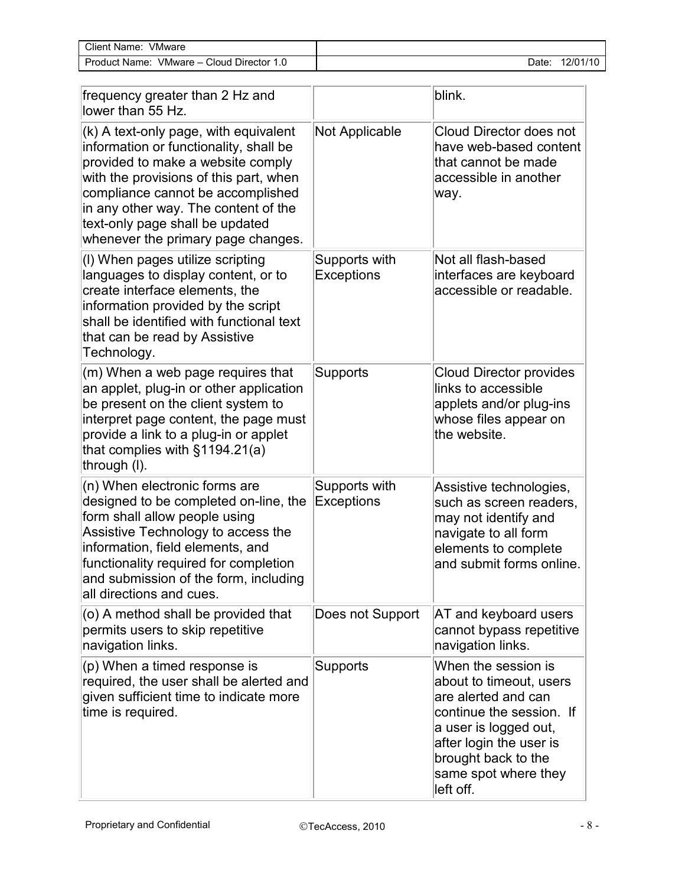| VMware<br>Client Name:                         |       |                        |
|------------------------------------------------|-------|------------------------|
| Cloud Director 1.<br>VMware -<br>Product Name: | Date. | $12/01/1$ <sup>r</sup> |

| frequency greater than 2 Hz and<br>lower than 55 Hz.                                                                                                                                                                                                                                                                 |                                    | blink.                                                                                                                                                                                                            |
|----------------------------------------------------------------------------------------------------------------------------------------------------------------------------------------------------------------------------------------------------------------------------------------------------------------------|------------------------------------|-------------------------------------------------------------------------------------------------------------------------------------------------------------------------------------------------------------------|
| (k) A text-only page, with equivalent<br>information or functionality, shall be<br>provided to make a website comply<br>with the provisions of this part, when<br>compliance cannot be accomplished<br>in any other way. The content of the<br>text-only page shall be updated<br>whenever the primary page changes. | <b>Not Applicable</b>              | Cloud Director does not<br>have web-based content<br>that cannot be made<br>accessible in another<br>way.                                                                                                         |
| (I) When pages utilize scripting<br>languages to display content, or to<br>create interface elements, the<br>information provided by the script<br>shall be identified with functional text<br>that can be read by Assistive<br>Technology.                                                                          | Supports with<br><b>Exceptions</b> | Not all flash-based<br>interfaces are keyboard<br>accessible or readable.                                                                                                                                         |
| (m) When a web page requires that<br>an applet, plug-in or other application<br>be present on the client system to<br>interpret page content, the page must<br>provide a link to a plug-in or applet<br>that complies with $§1194.21(a)$<br>through (I).                                                             | Supports                           | <b>Cloud Director provides</b><br>links to accessible<br>applets and/or plug-ins<br>whose files appear on<br>the website.                                                                                         |
| (n) When electronic forms are<br>designed to be completed on-line, the<br>form shall allow people using<br>Assistive Technology to access the<br>information, field elements, and<br>functionality required for completion<br>and submission of the form, including<br>all directions and cues.                      | Supports with<br><b>Exceptions</b> | Assistive technologies,<br>such as screen readers,<br>may not identify and<br>navigate to all form<br>elements to complete<br>and submit forms online.                                                            |
| (o) A method shall be provided that<br>permits users to skip repetitive<br>navigation links.                                                                                                                                                                                                                         | Does not Support                   | AT and keyboard users<br>cannot bypass repetitive<br>navigation links.                                                                                                                                            |
| (p) When a timed response is<br>required, the user shall be alerted and<br>given sufficient time to indicate more<br>time is required.                                                                                                                                                                               | <b>Supports</b>                    | When the session is<br>about to timeout, users<br>are alerted and can<br>continue the session. If<br>a user is logged out,<br>after login the user is<br>brought back to the<br>same spot where they<br>left off. |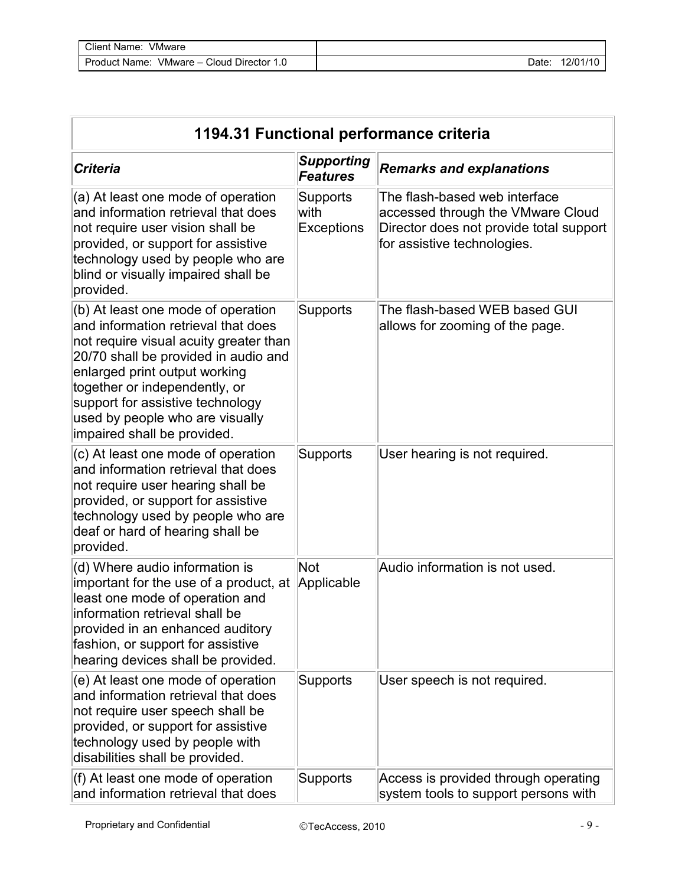| Client Name:<br><b>VMware</b>                |       |          |
|----------------------------------------------|-------|----------|
| VMware - Cloud Director 1.0<br>Product Name: | Date: | 12/01/10 |

| 1194.31 Functional performance criteria                                                                                                                                                                                                                                                                                             |                                        |                                                                                                                                              |  |  |
|-------------------------------------------------------------------------------------------------------------------------------------------------------------------------------------------------------------------------------------------------------------------------------------------------------------------------------------|----------------------------------------|----------------------------------------------------------------------------------------------------------------------------------------------|--|--|
| <b>Criteria</b>                                                                                                                                                                                                                                                                                                                     | <b>Supporting</b><br><b>Features</b>   | <b>Remarks and explanations</b>                                                                                                              |  |  |
| (a) At least one mode of operation<br>and information retrieval that does<br>not require user vision shall be<br>provided, or support for assistive<br>technology used by people who are<br>blind or visually impaired shall be<br>provided.                                                                                        | Supports<br>lwith<br><b>Exceptions</b> | The flash-based web interface<br>accessed through the VMware Cloud<br>Director does not provide total support<br>for assistive technologies. |  |  |
| (b) At least one mode of operation<br>and information retrieval that does<br>not require visual acuity greater than<br>20/70 shall be provided in audio and<br>enlarged print output working<br>together or independently, or<br>support for assistive technology<br>used by people who are visually<br>impaired shall be provided. | Supports                               | The flash-based WEB based GUI<br>allows for zooming of the page.                                                                             |  |  |
| (c) At least one mode of operation<br>and information retrieval that does<br>not require user hearing shall be<br>provided, or support for assistive<br>technology used by people who are<br>deaf or hard of hearing shall be<br>provided.                                                                                          | Supports                               | User hearing is not required.                                                                                                                |  |  |
| (d) Where audio information is<br>important for the use of a product, at<br>least one mode of operation and<br>information retrieval shall be<br>provided in an enhanced auditory<br>fashion, or support for assistive<br>hearing devices shall be provided.                                                                        | Not<br>Applicable                      | Audio information is not used.                                                                                                               |  |  |
| (e) At least one mode of operation<br>and information retrieval that does<br>not require user speech shall be<br>provided, or support for assistive<br>technology used by people with<br>disabilities shall be provided.                                                                                                            | Supports                               | User speech is not required.                                                                                                                 |  |  |
| (f) At least one mode of operation<br>and information retrieval that does                                                                                                                                                                                                                                                           | Supports                               | Access is provided through operating<br>system tools to support persons with                                                                 |  |  |